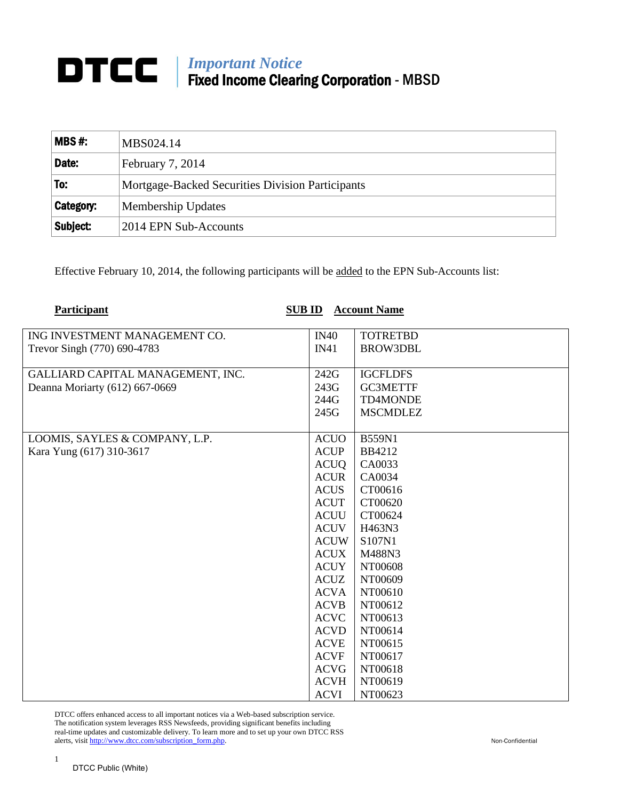## *Important Notice* Fixed Income Clearing Corporation - MBSD

| $MBS#$ :  | MBS024.14                                        |
|-----------|--------------------------------------------------|
| Date:     | February 7, 2014                                 |
| To:       | Mortgage-Backed Securities Division Participants |
| Category: | Membership Updates                               |
| Subject:  | 2014 EPN Sub-Accounts                            |

Effective February 10, 2014, the following participants will be added to the EPN Sub-Accounts list:

| <b>Participant</b><br><b>SUB ID</b> |             | <b>Account Name</b> |
|-------------------------------------|-------------|---------------------|
| ING INVESTMENT MANAGEMENT CO.       | IN40        | <b>TOTRETBD</b>     |
| Trevor Singh (770) 690-4783         | IN41        | <b>BROW3DBL</b>     |
|                                     |             |                     |
| GALLIARD CAPITAL MANAGEMENT, INC.   | 242G        | <b>IGCFLDFS</b>     |
| Deanna Moriarty (612) 667-0669      |             | <b>GC3METTF</b>     |
|                                     | 244G        | TD4MONDE            |
|                                     | 245G        | <b>MSCMDLEZ</b>     |
|                                     |             |                     |
| LOOMIS, SAYLES & COMPANY, L.P.      | <b>ACUO</b> | <b>B559N1</b>       |
| Kara Yung (617) 310-3617            | <b>ACUP</b> | BB4212              |
|                                     | <b>ACUQ</b> | CA0033              |
|                                     | <b>ACUR</b> | CA0034              |
|                                     | <b>ACUS</b> | CT00616             |
|                                     | <b>ACUT</b> | CT00620             |
|                                     | <b>ACUU</b> | CT00624             |
|                                     | <b>ACUV</b> | H463N3              |
|                                     | <b>ACUW</b> | S107N1              |
|                                     | <b>ACUX</b> | M488N3              |
|                                     | <b>ACUY</b> | NT00608             |
|                                     | <b>ACUZ</b> | NT00609             |
|                                     | <b>ACVA</b> | NT00610             |
|                                     | <b>ACVB</b> | NT00612             |
|                                     | <b>ACVC</b> | NT00613             |
|                                     | <b>ACVD</b> | NT00614             |
|                                     | <b>ACVE</b> | NT00615             |
|                                     | <b>ACVF</b> | NT00617             |
|                                     | <b>ACVG</b> | NT00618             |
|                                     | <b>ACVH</b> | NT00619             |
|                                     | <b>ACVI</b> | NT00623             |

DTCC offers enhanced access to all important notices via a Web-based subscription service. The notification system leverages RSS Newsfeeds, providing significant benefits including real-time updates and customizable delivery. To learn more and to set up your own DTCC RSS alerts, visit http://www.dtcc.com/subscription\_form.php. Non-Confidential